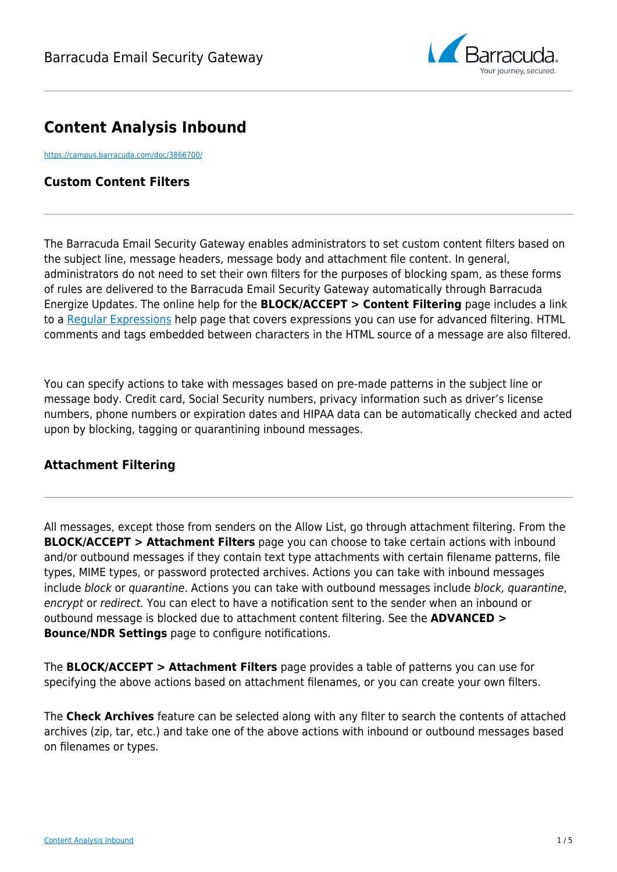

# **Content Analysis Inbound**

<https://campus.barracuda.com/doc/3866700/>

## **Custom Content Filters**

The Barracuda Email Security Gateway enables administrators to set custom content filters based on the subject line, message headers, message body and attachment file content. In general, administrators do not need to set their own filters for the purposes of blocking spam, as these forms of rules are delivered to the Barracuda Email Security Gateway automatically through Barracuda Energize Updates. The online help for the **BLOCK/ACCEPT > Content Filtering** page includes a link to a [Regular Expressions](http://campus.barracuda.com/doc/5472273/) help page that covers expressions you can use for advanced filtering. HTML comments and tags embedded between characters in the HTML source of a message are also filtered.

You can specify actions to take with messages based on pre-made patterns in the subject line or message body. Credit card, Social Security numbers, privacy information such as driver's license numbers, phone numbers or expiration dates and HIPAA data can be automatically checked and acted upon by blocking, tagging or quarantining inbound messages.

# **Attachment Filtering**

All messages, except those from senders on the Allow List, go through attachment filtering. From the **BLOCK/ACCEPT > Attachment Filters** page you can choose to take certain actions with inbound and/or outbound messages if they contain text type attachments with certain filename patterns, file types, MIME types, or password protected archives. Actions you can take with inbound messages include block or quarantine. Actions you can take with outbound messages include block, quarantine, encrypt or redirect. You can elect to have a notification sent to the sender when an inbound or outbound message is blocked due to attachment content filtering. See the **ADVANCED > Bounce/NDR Settings** page to configure notifications.

The **BLOCK/ACCEPT > Attachment Filters** page provides a table of patterns you can use for specifying the above actions based on attachment filenames, or you can create your own filters.

The **Check Archives** feature can be selected along with any filter to search the contents of attached archives (zip, tar, etc.) and take one of the above actions with inbound or outbound messages based on filenames or types.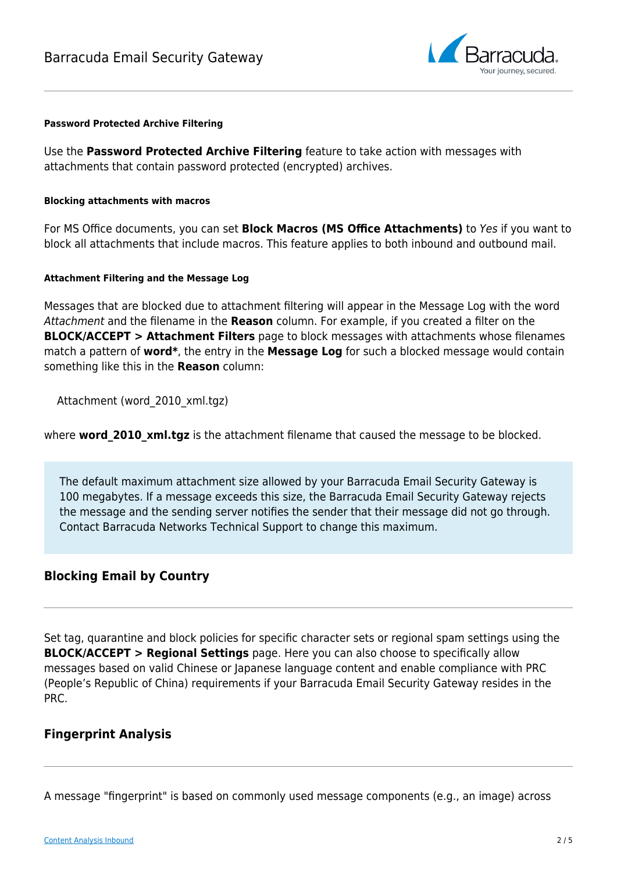

#### **Password Protected Archive Filtering**

Use the **Password Protected Archive Filtering** feature to take action with messages with attachments that contain password protected (encrypted) archives.

### **Blocking attachments with macros**

For MS Office documents, you can set **Block Macros (MS Office Attachments)** to Yes if you want to block all attachments that include macros. This feature applies to both inbound and outbound mail.

### **Attachment Filtering and the Message Log**

Messages that are blocked due to attachment filtering will appear in the Message Log with the word Attachment and the filename in the **Reason** column. For example, if you created a filter on the **BLOCK/ACCEPT > Attachment Filters** page to block messages with attachments whose filenames match a pattern of **word\***, the entry in the **Message Log** for such a blocked message would contain something like this in the **Reason** column:

Attachment (word\_2010\_xml.tgz)

where **word 2010 xml.tgz** is the attachment filename that caused the message to be blocked.

The default maximum attachment size allowed by your Barracuda Email Security Gateway is 100 megabytes. If a message exceeds this size, the Barracuda Email Security Gateway rejects the message and the sending server notifies the sender that their message did not go through. Contact Barracuda Networks Technical Support to change this maximum.

## **Blocking Email by Country**

Set tag, quarantine and block policies for specific character sets or regional spam settings using the **BLOCK/ACCEPT > Regional Settings** page. Here you can also choose to specifically allow messages based on valid Chinese or Japanese language content and enable compliance with PRC (People's Republic of China) requirements if your Barracuda Email Security Gateway resides in the PRC.

# **Fingerprint Analysis**

A message "fingerprint" is based on commonly used message components (e.g., an image) across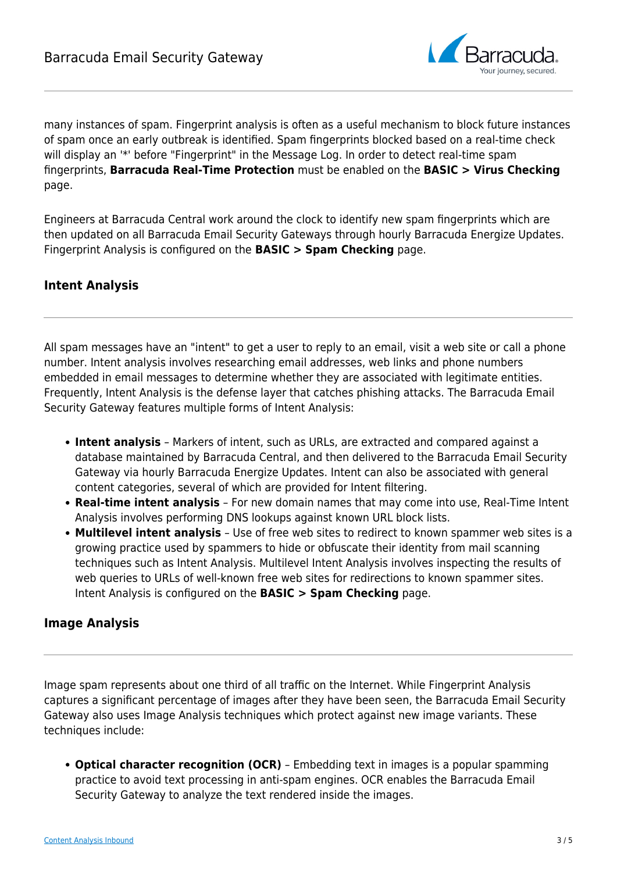

many instances of spam. Fingerprint analysis is often as a useful mechanism to block future instances of spam once an early outbreak is identified. Spam fingerprints blocked based on a real-time check will display an '\*' before "Fingerprint" in the Message Log. In order to detect real-time spam fingerprints, **Barracuda Real-Time Protection** must be enabled on the **BASIC > Virus Checking** page.

Engineers at Barracuda Central work around the clock to identify new spam fingerprints which are then updated on all Barracuda Email Security Gateways through hourly Barracuda Energize Updates. Fingerprint Analysis is configured on the **BASIC > Spam Checking** page.

# **Intent Analysis**

All spam messages have an "intent" to get a user to reply to an email, visit a web site or call a phone number. Intent analysis involves researching email addresses, web links and phone numbers embedded in email messages to determine whether they are associated with legitimate entities. Frequently, Intent Analysis is the defense layer that catches phishing attacks. The Barracuda Email Security Gateway features multiple forms of Intent Analysis:

- **Intent analysis** Markers of intent, such as URLs, are extracted and compared against a database maintained by Barracuda Central, and then delivered to the Barracuda Email Security Gateway via hourly Barracuda Energize Updates. Intent can also be associated with general content categories, several of which are provided for Intent filtering.
- **Real-time intent analysis** For new domain names that may come into use, Real-Time Intent Analysis involves performing DNS lookups against known URL block lists.
- **Multilevel intent analysis** Use of free web sites to redirect to known spammer web sites is a growing practice used by spammers to hide or obfuscate their identity from mail scanning techniques such as Intent Analysis. Multilevel Intent Analysis involves inspecting the results of web queries to URLs of well-known free web sites for redirections to known spammer sites. Intent Analysis is configured on the **BASIC > Spam Checking** page.

# **Image Analysis**

Image spam represents about one third of all traffic on the Internet. While Fingerprint Analysis captures a significant percentage of images after they have been seen, the Barracuda Email Security Gateway also uses Image Analysis techniques which protect against new image variants. These techniques include:

**Optical character recognition (OCR)** – Embedding text in images is a popular spamming practice to avoid text processing in anti-spam engines. OCR enables the Barracuda Email Security Gateway to analyze the text rendered inside the images.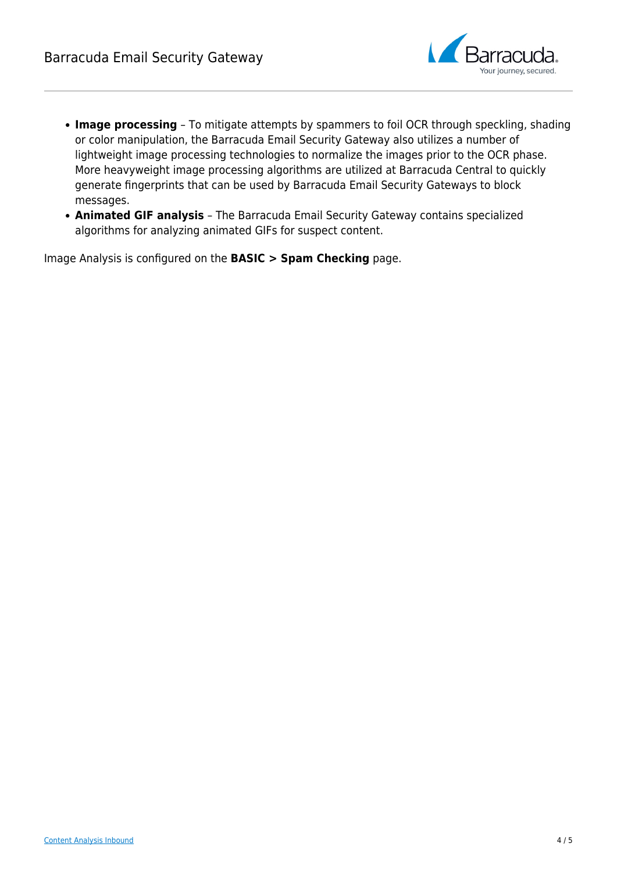

- **Image processing** To mitigate attempts by spammers to foil OCR through speckling, shading or color manipulation, the Barracuda Email Security Gateway also utilizes a number of lightweight image processing technologies to normalize the images prior to the OCR phase. More heavyweight image processing algorithms are utilized at Barracuda Central to quickly generate fingerprints that can be used by Barracuda Email Security Gateways to block messages.
- **Animated GIF analysis** The Barracuda Email Security Gateway contains specialized algorithms for analyzing animated GIFs for suspect content.

Image Analysis is configured on the **BASIC > Spam Checking** page.